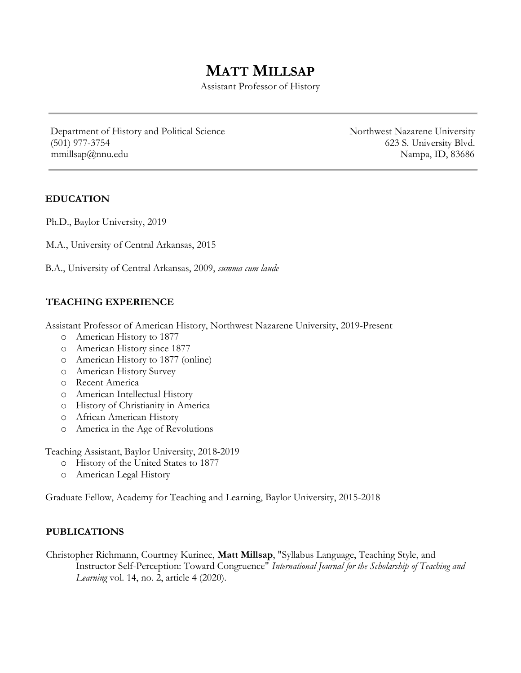# MATT MILLSAP

Assistant Professor of History

Department of History and Political Science Northwest Nazarene University (501) 977-3754 623 S. University Blvd. mmillsap@nnu.edu Nampa, ID, 83686

## EDUCATION

Ph.D., Baylor University, 2019

M.A., University of Central Arkansas, 2015

B.A., University of Central Arkansas, 2009, summa cum laude

## TEACHING EXPERIENCE

Assistant Professor of American History, Northwest Nazarene University, 2019-Present

- o American History to 1877
- o American History since 1877
- o American History to 1877 (online)
- o American History Survey
- o Recent America
- o American Intellectual History
- o History of Christianity in America
- o African American History
- o America in the Age of Revolutions

Teaching Assistant, Baylor University, 2018-2019

- o History of the United States to 1877
- o American Legal History

Graduate Fellow, Academy for Teaching and Learning, Baylor University, 2015-2018

## PUBLICATIONS

Christopher Richmann, Courtney Kurinec, Matt Millsap, "Syllabus Language, Teaching Style, and Instructor Self-Perception: Toward Congruence" International Journal for the Scholarship of Teaching and Learning vol. 14, no. 2, article 4 (2020).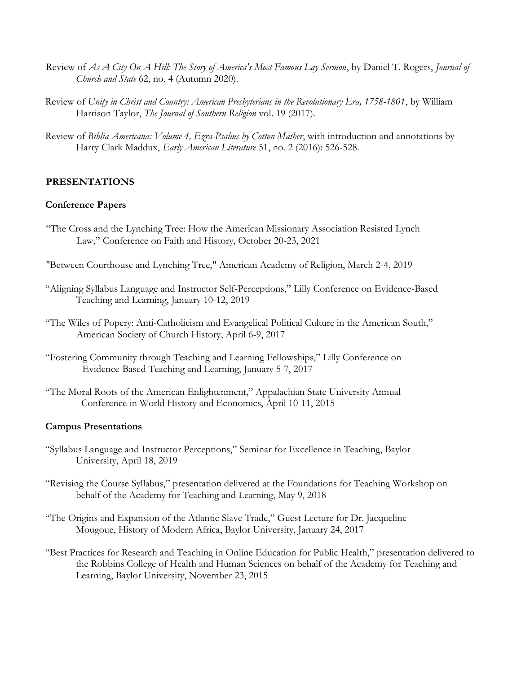- Review of As A City On A Hill: The Story of America's Most Famous Lay Sermon, by Daniel T. Rogers, Journal of Church and State 62, no. 4 (Autumn 2020).
- Review of Unity in Christ and Country: American Preshyterians in the Revolutionary Era, 1758-1801, by William Harrison Taylor, The Journal of Southern Religion vol. 19 (2017).
- Review of Biblia Americana: Volume 4, Ezra-Psalms by Cotton Mather, with introduction and annotations by Harry Clark Maddux, Early American Literature 51, no. 2 (2016): 526-528.

### PRESENTATIONS

#### Conference Papers

- "The Cross and the Lynching Tree: How the American Missionary Association Resisted Lynch Law," Conference on Faith and History, October 20-23, 2021
- "Between Courthouse and Lynching Tree," American Academy of Religion, March 2-4, 2019
- "Aligning Syllabus Language and Instructor Self-Perceptions," Lilly Conference on Evidence-Based Teaching and Learning, January 10-12, 2019
- "The Wiles of Popery: Anti-Catholicism and Evangelical Political Culture in the American South," American Society of Church History, April 6-9, 2017
- "Fostering Community through Teaching and Learning Fellowships," Lilly Conference on Evidence-Based Teaching and Learning, January 5-7, 2017
- "The Moral Roots of the American Enlightenment," Appalachian State University Annual Conference in World History and Economics, April 10-11, 2015

#### Campus Presentations

- "Syllabus Language and Instructor Perceptions," Seminar for Excellence in Teaching, Baylor University, April 18, 2019
- "Revising the Course Syllabus," presentation delivered at the Foundations for Teaching Workshop on behalf of the Academy for Teaching and Learning, May 9, 2018
- "The Origins and Expansion of the Atlantic Slave Trade," Guest Lecture for Dr. Jacqueline Mougoue, History of Modern Africa, Baylor University, January 24, 2017
- "Best Practices for Research and Teaching in Online Education for Public Health," presentation delivered to the Robbins College of Health and Human Sciences on behalf of the Academy for Teaching and Learning, Baylor University, November 23, 2015